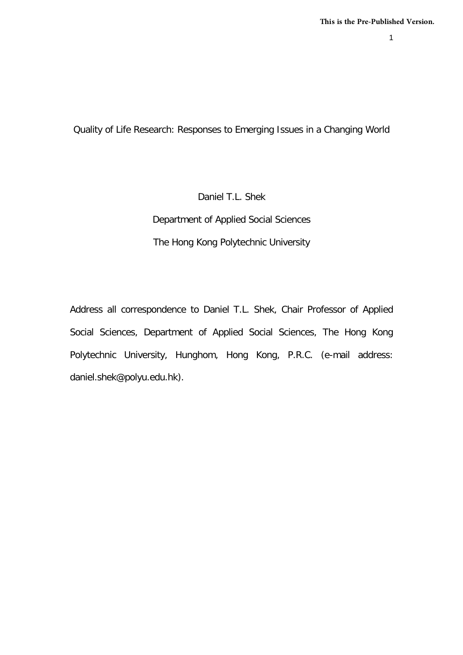1

Quality of Life Research: Responses to Emerging Issues in a Changing World

Daniel T.L. Shek Department of Applied Social Sciences The Hong Kong Polytechnic University

Address all correspondence to Daniel T.L. Shek, Chair Professor of Applied Social Sciences, Department of Applied Social Sciences, The Hong Kong Polytechnic University, Hunghom, Hong Kong, P.R.C. (e-mail address: daniel.shek@polyu.edu.hk).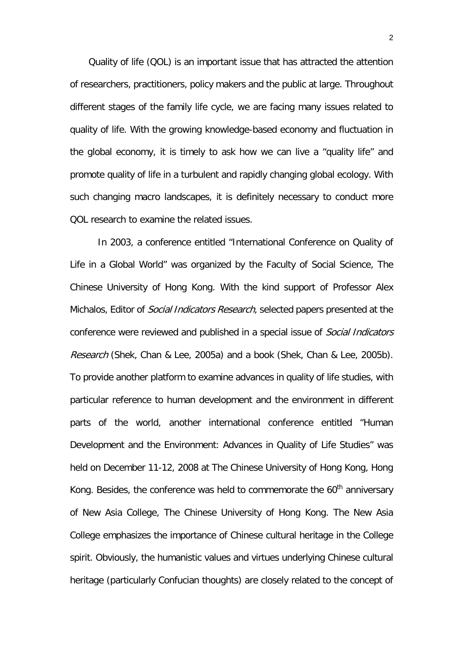Quality of life (QOL) is an important issue that has attracted the attention of researchers, practitioners, policy makers and the public at large. Throughout different stages of the family life cycle, we are facing many issues related to quality of life. With the growing knowledge-based economy and fluctuation in the global economy, it is timely to ask how we can live a "quality life" and promote quality of life in a turbulent and rapidly changing global ecology. With such changing macro landscapes, it is definitely necessary to conduct more QOL research to examine the related issues.

In 2003, a conference entitled "International Conference on Quality of Life in a Global World" was organized by the Faculty of Social Science, The Chinese University of Hong Kong. With the kind support of Professor Alex Michalos, Editor of *Social Indicators Research*, selected papers presented at the conference were reviewed and published in a special issue of Social Indicators Research (Shek, Chan & Lee, 2005a) and a book (Shek, Chan & Lee, 2005b). To provide another platform to examine advances in quality of life studies, with particular reference to human development and the environment in different parts of the world, another international conference entitled "Human Development and the Environment: Advances in Quality of Life Studies" was held on December 11-12, 2008 at The Chinese University of Hong Kong, Hong Kong. Besides, the conference was held to commemorate the  $60<sup>th</sup>$  anniversary of New Asia College, The Chinese University of Hong Kong. The New Asia College emphasizes the importance of Chinese cultural heritage in the College spirit. Obviously, the humanistic values and virtues underlying Chinese cultural heritage (particularly Confucian thoughts) are closely related to the concept of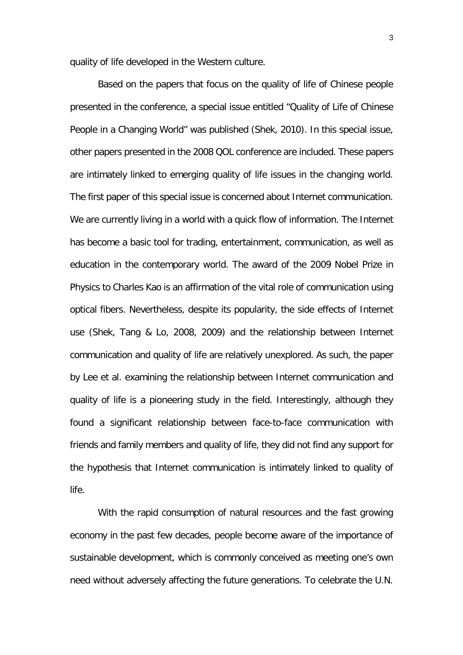quality of life developed in the Western culture.

Based on the papers that focus on the quality of life of Chinese people presented in the conference, a special issue entitled "Quality of Life of Chinese People in a Changing World" was published (Shek, 2010). In this special issue, other papers presented in the 2008 QOL conference are included. These papers are intimately linked to emerging quality of life issues in the changing world. The first paper of this special issue is concerned about Internet communication. We are currently living in a world with a quick flow of information. The Internet has become a basic tool for trading, entertainment, communication, as well as education in the contemporary world. The award of the 2009 Nobel Prize in Physics to Charles Kao is an affirmation of the vital role of communication using optical fibers. Nevertheless, despite its popularity, the side effects of Internet use (Shek, Tang & Lo, 2008, 2009) and the relationship between Internet communication and quality of life are relatively unexplored. As such, the paper by Lee et al. examining the relationship between Internet communication and quality of life is a pioneering study in the field. Interestingly, although they found a significant relationship between face-to-face communication with friends and family members and quality of life, they did not find any support for the hypothesis that Internet communication is intimately linked to quality of life.

With the rapid consumption of natural resources and the fast growing economy in the past few decades, people become aware of the importance of sustainable development, which is commonly conceived as meeting one's own need without adversely affecting the future generations. To celebrate the U.N.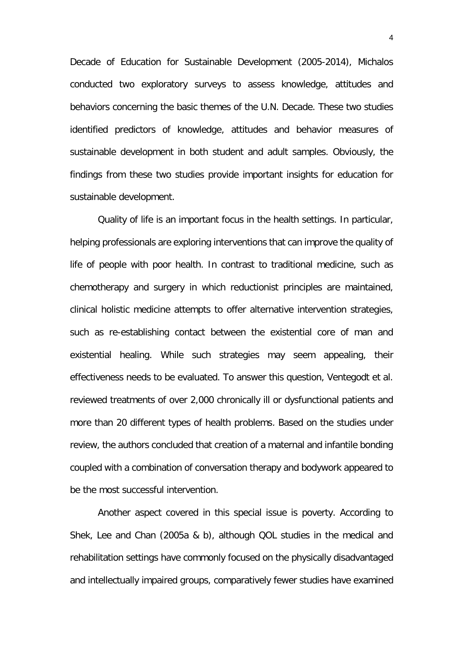Decade of Education for Sustainable Development (2005-2014), Michalos conducted two exploratory surveys to assess knowledge, attitudes and behaviors concerning the basic themes of the U.N. Decade. These two studies identified predictors of knowledge, attitudes and behavior measures of sustainable development in both student and adult samples. Obviously, the findings from these two studies provide important insights for education for sustainable development.

Quality of life is an important focus in the health settings. In particular, helping professionals are exploring interventions that can improve the quality of life of people with poor health. In contrast to traditional medicine, such as chemotherapy and surgery in which reductionist principles are maintained, clinical holistic medicine attempts to offer alternative intervention strategies, such as re-establishing contact between the existential core of man and existential healing. While such strategies may seem appealing, their effectiveness needs to be evaluated. To answer this question, Ventegodt et al. reviewed treatments of over 2,000 chronically ill or dysfunctional patients and more than 20 different types of health problems. Based on the studies under review, the authors concluded that creation of a maternal and infantile bonding coupled with a combination of conversation therapy and bodywork appeared to be the most successful intervention.

Another aspect covered in this special issue is poverty. According to Shek, Lee and Chan (2005a & b), although QOL studies in the medical and rehabilitation settings have commonly focused on the physically disadvantaged and intellectually impaired groups, comparatively fewer studies have examined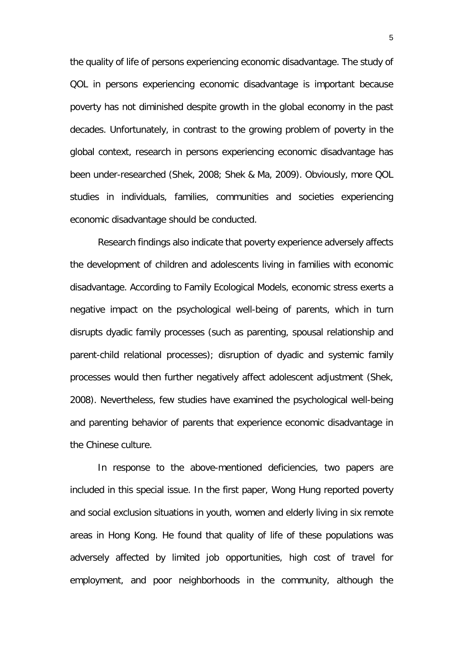the quality of life of persons experiencing economic disadvantage. The study of QOL in persons experiencing economic disadvantage is important because poverty has not diminished despite growth in the global economy in the past decades. Unfortunately, in contrast to the growing problem of poverty in the global context, research in persons experiencing economic disadvantage has been under-researched (Shek, 2008; Shek & Ma, 2009). Obviously, more QOL studies in individuals, families, communities and societies experiencing economic disadvantage should be conducted.

Research findings also indicate that poverty experience adversely affects the development of children and adolescents living in families with economic disadvantage. According to Family Ecological Models, economic stress exerts a negative impact on the psychological well-being of parents, which in turn disrupts dyadic family processes (such as parenting, spousal relationship and parent-child relational processes); disruption of dyadic and systemic family processes would then further negatively affect adolescent adjustment (Shek, 2008). Nevertheless, few studies have examined the psychological well-being and parenting behavior of parents that experience economic disadvantage in the Chinese culture.

In response to the above-mentioned deficiencies, two papers are included in this special issue. In the first paper, Wong Hung reported poverty and social exclusion situations in youth, women and elderly living in six remote areas in Hong Kong. He found that quality of life of these populations was adversely affected by limited job opportunities, high cost of travel for employment, and poor neighborhoods in the community, although the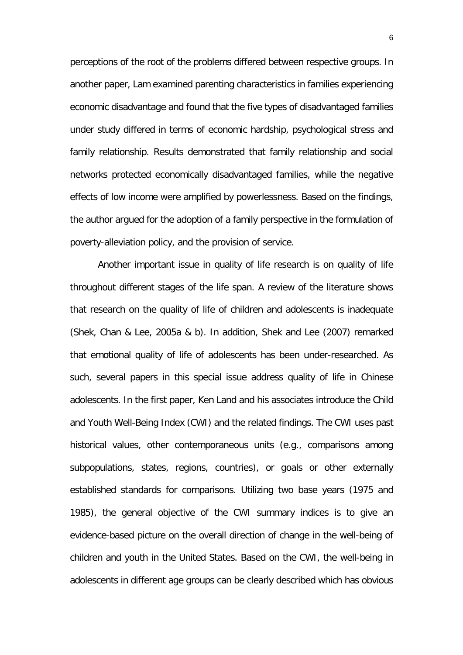perceptions of the root of the problems differed between respective groups. In another paper, Lam examined parenting characteristics in families experiencing economic disadvantage and found that the five types of disadvantaged families under study differed in terms of economic hardship, psychological stress and family relationship. Results demonstrated that family relationship and social networks protected economically disadvantaged families, while the negative effects of low income were amplified by powerlessness. Based on the findings, the author argued for the adoption of a family perspective in the formulation of poverty-alleviation policy, and the provision of service.

Another important issue in quality of life research is on quality of life throughout different stages of the life span. A review of the literature shows that research on the quality of life of children and adolescents is inadequate (Shek, Chan & Lee, 2005a & b). In addition, Shek and Lee (2007) remarked that emotional quality of life of adolescents has been under-researched. As such, several papers in this special issue address quality of life in Chinese adolescents. In the first paper, Ken Land and his associates introduce the Child and Youth Well-Being Index (CWI) and the related findings. The CWI uses past historical values, other contemporaneous units (e.g., comparisons among subpopulations, states, regions, countries), or goals or other externally established standards for comparisons. Utilizing two base years (1975 and 1985), the general objective of the CWI summary indices is to give an evidence-based picture on the overall direction of change in the well-being of children and youth in the United States. Based on the CWI, the well-being in adolescents in different age groups can be clearly described which has obvious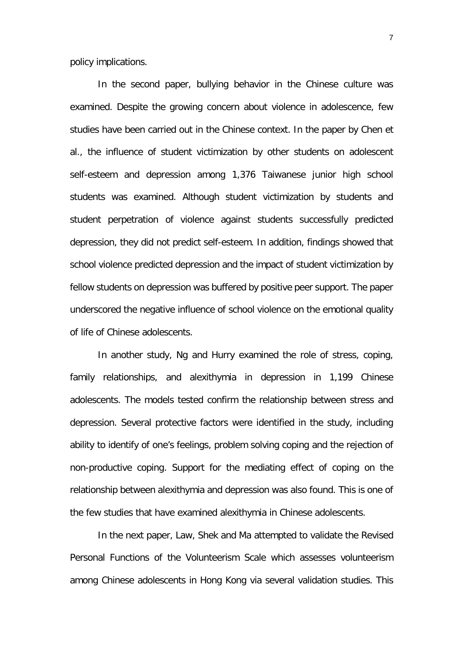policy implications.

In the second paper, bullying behavior in the Chinese culture was examined. Despite the growing concern about violence in adolescence, few studies have been carried out in the Chinese context. In the paper by Chen et al., the influence of student victimization by other students on adolescent self-esteem and depression among 1,376 Taiwanese junior high school students was examined. Although student victimization by students and student perpetration of violence against students successfully predicted depression, they did not predict self-esteem. In addition, findings showed that school violence predicted depression and the impact of student victimization by fellow students on depression was buffered by positive peer support. The paper underscored the negative influence of school violence on the emotional quality of life of Chinese adolescents.

In another study, Ng and Hurry examined the role of stress, coping, family relationships, and alexithymia in depression in 1,199 Chinese adolescents. The models tested confirm the relationship between stress and depression. Several protective factors were identified in the study, including ability to identify of one's feelings, problem solving coping and the rejection of non-productive coping. Support for the mediating effect of coping on the relationship between alexithymia and depression was also found. This is one of the few studies that have examined alexithymia in Chinese adolescents.

In the next paper, Law, Shek and Ma attempted to validate the Revised Personal Functions of the Volunteerism Scale which assesses volunteerism among Chinese adolescents in Hong Kong via several validation studies. This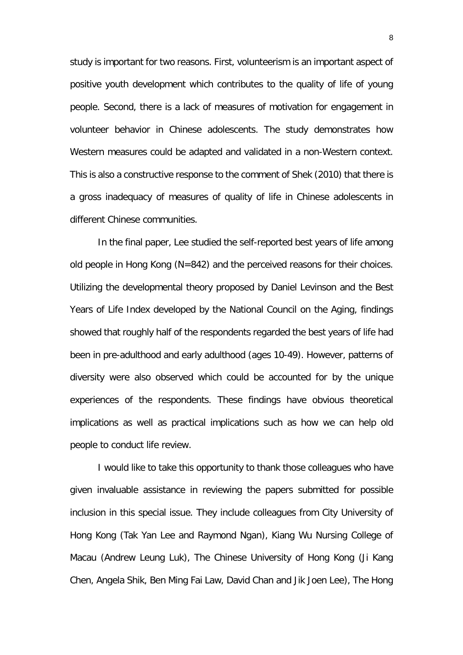study is important for two reasons. First, volunteerism is an important aspect of positive youth development which contributes to the quality of life of young people. Second, there is a lack of measures of motivation for engagement in volunteer behavior in Chinese adolescents. The study demonstrates how Western measures could be adapted and validated in a non-Western context. This is also a constructive response to the comment of Shek (2010) that there is a gross inadequacy of measures of quality of life in Chinese adolescents in different Chinese communities.

In the final paper, Lee studied the self-reported best years of life among old people in Hong Kong (N=842) and the perceived reasons for their choices. Utilizing the developmental theory proposed by Daniel Levinson and the Best Years of Life Index developed by the National Council on the Aging, findings showed that roughly half of the respondents regarded the best years of life had been in pre-adulthood and early adulthood (ages 10-49). However, patterns of diversity were also observed which could be accounted for by the unique experiences of the respondents. These findings have obvious theoretical implications as well as practical implications such as how we can help old people to conduct life review.

I would like to take this opportunity to thank those colleagues who have given invaluable assistance in reviewing the papers submitted for possible inclusion in this special issue. They include colleagues from City University of Hong Kong (Tak Yan Lee and Raymond Ngan), Kiang Wu Nursing College of Macau (Andrew Leung Luk), The Chinese University of Hong Kong (Ji Kang Chen, Angela Shik, Ben Ming Fai Law, David Chan and Jik Joen Lee), The Hong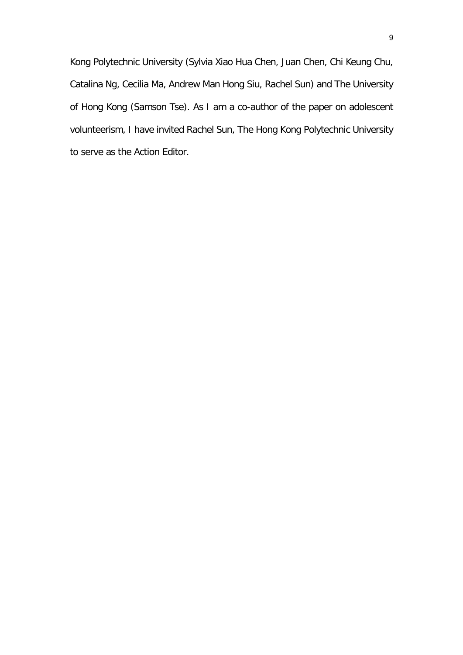Kong Polytechnic University (Sylvia Xiao Hua Chen, Juan Chen, Chi Keung Chu, Catalina Ng, Cecilia Ma, Andrew Man Hong Siu, Rachel Sun) and The University of Hong Kong (Samson Tse). As I am a co-author of the paper on adolescent volunteerism, I have invited Rachel Sun, The Hong Kong Polytechnic University to serve as the Action Editor.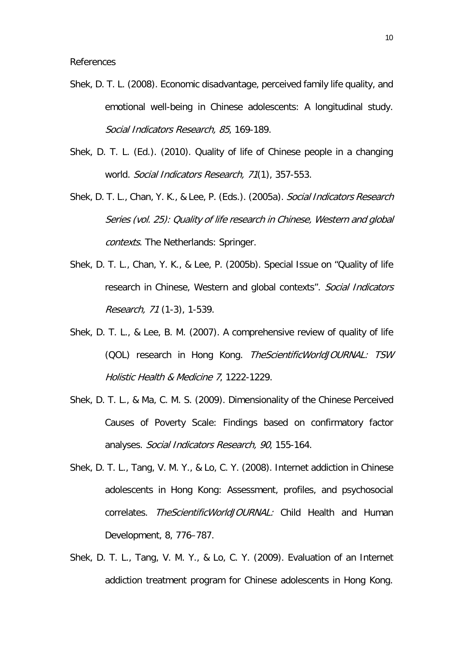- Shek, D. T. L. (2008). Economic disadvantage, perceived family life quality, and emotional well-being in Chinese adolescents: A longitudinal study. Social Indicators Research, 85, 169-189.
- Shek, D. T. L. (Ed.). (2010). Quality of life of Chinese people in a changing world. Social Indicators Research, 71(1), 357-553.
- Shek, D. T. L., Chan, Y. K., & Lee, P. (Eds.). (2005a). Social Indicators Research Series (vol. 25): Quality of life research in Chinese, Western and global contexts. The Netherlands: Springer.
- Shek, D. T. L., Chan, Y. K., & Lee, P. (2005b). Special Issue on "Quality of life research in Chinese, Western and global contexts". Social Indicators Research, 71 (1-3), 1-539.
- Shek, D. T. L., & Lee, B. M. (2007). A comprehensive review of quality of life (QOL) research in Hong Kong. TheScientificWorldJOURNAL: TSW Holistic Health & Medicine 7, 1222-1229.
- Shek, D. T. L., & Ma, C. M. S. (2009). Dimensionality of the Chinese Perceived Causes of Poverty Scale: Findings based on confirmatory factor analyses. Social Indicators Research, 90, 155-164.
- Shek, D. T. L., Tang, V. M. Y., & Lo, C. Y. (2008). Internet addiction in Chinese adolescents in Hong Kong: Assessment, profiles, and psychosocial correlates. TheScientificWorldJOURNAL: Child Health and Human Development, 8, 776–787.
- Shek, D. T. L., Tang, V. M. Y., & Lo, C. Y. (2009). Evaluation of an Internet addiction treatment program for Chinese adolescents in Hong Kong.